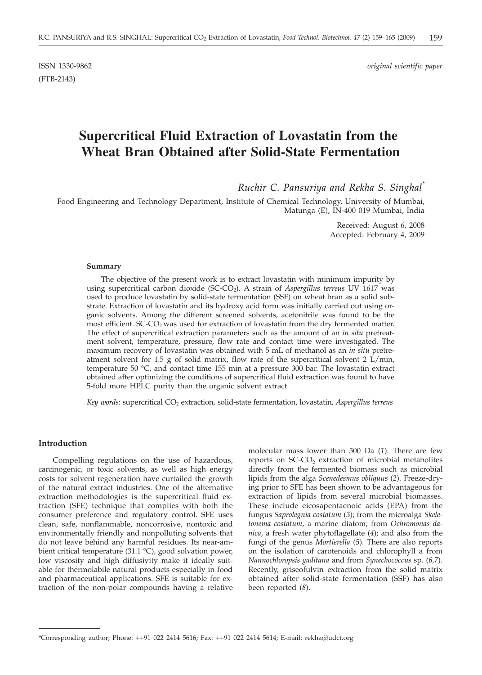(FTB-2143)

ISSN 1330-9862 *original scientific paper*

# **Supercritical Fluid Extraction of Lovastatin from the Wheat Bran Obtained after Solid-State Fermentation**

*Ruchir C. Pansuriya and Rekha S. Singhal\**

Food Engineering and Technology Department, Institute of Chemical Technology, University of Mumbai, Matunga (E), IN-400 019 Mumbai, India

> Received: August 6, 2008 Accepted: February 4, 2009

## **Summary**

The objective of the present work is to extract lovastatin with minimum impurity by using supercritical carbon dioxide (SC-CO2). A strain of *Aspergillus terreus* UV 1617 was used to produce lovastatin by solid-state fermentation (SSF) on wheat bran as a solid substrate. Extraction of lovastatin and its hydroxy acid form was initially carried out using organic solvents. Among the different screened solvents, acetonitrile was found to be the most efficient.  $SC-CO<sub>2</sub>$  was used for extraction of lovastatin from the dry fermented matter. The effect of supercritical extraction parameters such as the amount of an *in situ* pretreatment solvent, temperature, pressure, flow rate and contact time were investigated. The maximum recovery of lovastatin was obtained with 5 mL of methanol as an *in situ* pretreatment solvent for 1.5 g of solid matrix, flow rate of the supercritical solvent 2  $L/min$ , temperature 50 °C, and contact time 155 min at a pressure 300 bar. The lovastatin extract obtained after optimizing the conditions of supercritical fluid extraction was found to have 5-fold more HPLC purity than the organic solvent extract.

*Key words*: supercritical CO2 extraction, solid-state fermentation, lovastatin, *Aspergillus terreus*

## **Introduction**

Compelling regulations on the use of hazardous, carcinogenic, or toxic solvents, as well as high energy costs for solvent regeneration have curtailed the growth of the natural extract industries. One of the alternative extraction methodologies is the supercritical fluid extraction (SFE) technique that complies with both the consumer preference and regulatory control. SFE uses clean, safe, nonflammable, noncorrosive, nontoxic and environmentally friendly and nonpolluting solvents that do not leave behind any harmful residues. Its near-ambient critical temperature (31.1 °C), good solvation power, low viscosity and high diffusivity make it ideally suitable for thermolabile natural products especially in food and pharmaceutical applications. SFE is suitable for extraction of the non-polar compounds having a relative

molecular mass lower than 500 Da (*1*). There are few reports on  $SC-CO<sub>2</sub>$  extraction of microbial metabolites directly from the fermented biomass such as microbial lipids from the alga *Scenedesmus obliquus* (*2*). Freeze-drying prior to SFE has been shown to be advantageous for extraction of lipids from several microbial biomasses. These include eicosapentaenoic acids (EPA) from the fungus *Saprolegnia costatum* (*3*); from the microalga *Skeletonema costatum*, a marine diatom; from *Ochromonas danica*, a fresh water phytoflagellate (*4*); and also from the fungi of the genus *Mortierella* (*5*). There are also reports on the isolation of carotenoids and chlorophyll a from *Nannochloropsis gaditana* and from *Synechococcus* sp. (*6,7*). Recently, griseofulvin extraction from the solid matrix obtained after solid-state fermentation (SSF) has also been reported (*8*).

<sup>\*</sup>Corresponding author; Phone: ++91 022 2414 5616; Fax: ++91 022 2414 5614; E-mail: rekha*@*udct.org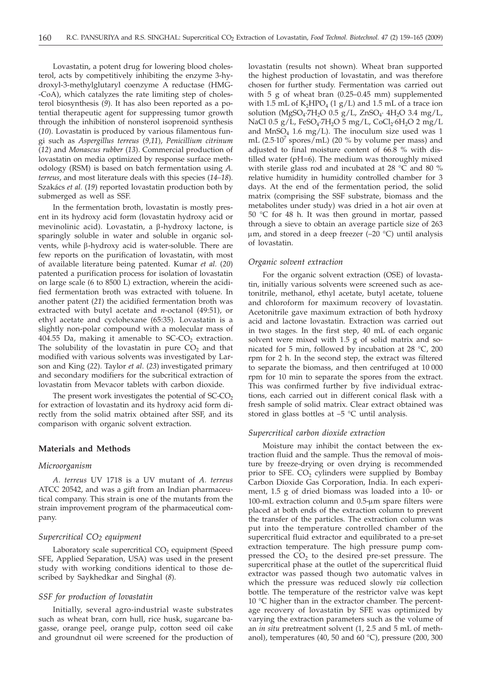Lovastatin, a potent drug for lowering blood cholesterol, acts by competitively inhibiting the enzyme 3-hydroxyl-3-methylglutaryl coenzyme A reductase (HMG- -CoA), which catalyzes the rate limiting step of cholesterol biosynthesis (*9*). It has also been reported as a potential therapeutic agent for suppressing tumor growth through the inhibition of nonsterol isoprenoid synthesis (*10*). Lovastatin is produced by various filamentous fungi such as *Aspergillus terreus* (*9,11*), *Penicillium citrinum* (*12*) and *Monascus rubber* (*13*). Commercial production of lovastatin on media optimized by response surface methodology (RSM) is based on batch fermentation using *A. terreus*, and most literature deals with this species (*14–18*). Szakács *et al.* (*19*) reported lovastatin production both by submerged as well as SSF.

In the fermentation broth, lovastatin is mostly present in its hydroxy acid form (lovastatin hydroxy acid or mevinolinic acid). Lovastatin, a  $\beta$ -hydroxy lactone, is sparingly soluble in water and soluble in organic solvents, while  $\beta$ -hydroxy acid is water-soluble. There are few reports on the purification of lovastatin, with most of available literature being patented. Kumar *et al.* (*20*) patented a purification process for isolation of lovastatin on large scale (6 to 8500 L) extraction, wherein the acidified fermentation broth was extracted with toluene. In another patent (*21*) the acidified fermentation broth was extracted with butyl acetate and *n*-octanol (49:51), or ethyl acetate and cyclohexane (65:35). Lovastatin is a slightly non-polar compound with a molecular mass of 404.55 Da, making it amenable to  $SC-CO<sub>2</sub>$  extraction. The solubility of the lovastatin in pure  $CO<sub>2</sub>$  and that modified with various solvents was investigated by Larson and King (*22*). Taylor *et al*. (*23*) investigated primary and secondary modifiers for the subcritical extraction of lovastatin from Mevacor tablets with carbon dioxide.

The present work investigates the potential of  $SC$ - $CO<sub>2</sub>$ for extraction of lovastatin and its hydroxy acid form directly from the solid matrix obtained after SSF, and its comparison with organic solvent extraction.

#### **Materials and Methods**

#### *Microorganism*

*A. terreus* UV 1718 is a UV mutant of *A. terreus* ATCC 20542, and was a gift from an Indian pharmaceutical company. This strain is one of the mutants from the strain improvement program of the pharmaceutical company.

## *Supercritical CO2 equipment*

Laboratory scale supercritical CO<sub>2</sub> equipment (Speed SFE, Applied Separation, USA) was used in the present study with working conditions identical to those described by Saykhedkar and Singhal (*8*).

# *SSF for production of lovastatin*

Initially, several agro-industrial waste substrates such as wheat bran, corn hull, rice husk, sugarcane bagasse, orange peel, orange pulp, cotton seed oil cake and groundnut oil were screened for the production of lovastatin (results not shown). Wheat bran supported the highest production of lovastatin, and was therefore chosen for further study. Fermentation was carried out with 5 g of wheat bran (0.25–0.45 mm) supplemented with 1.5 mL of  $K_2HPO_4$  (1 g/L) and 1.5 mL of a trace ion solution (MgSO<sub>4</sub>·7H<sub>2</sub>O 0.5 g/L, ZnSO<sub>4</sub>· 4H<sub>2</sub>O 3.4 mg/L, NaCl 0.5 g/L, FeSO<sub>4</sub>·7H<sub>2</sub>O 5 mg/L, CoCl<sub>2</sub>·6H<sub>2</sub>O 2 mg/L and  $MnSO_4$  1.6 mg/L). The inoculum size used was 1 mL (2.5 $\cdot$ 10<sup>7</sup> spores/mL) (20 % by volume per mass) and adjusted to final moisture content of 66.8 % with distilled water (pH=6). The medium was thoroughly mixed with sterile glass rod and incubated at 28 °C and 80 % relative humidity in humidity controlled chamber for 3 days. At the end of the fermentation period, the solid matrix (comprising the SSF substrate, biomass and the metabolites under study) was dried in a hot air oven at 50 °C for 48 h. It was then ground in mortar, passed through a sieve to obtain an average particle size of 263  $\mu$ m, and stored in a deep freezer (-20 °C) until analysis of lovastatin.

#### *Organic solvent extraction*

For the organic solvent extraction (OSE) of lovastatin, initially various solvents were screened such as acetonitrile, methanol, ethyl acetate, butyl acetate, toluene and chloroform for maximum recovery of lovastatin. Acetonitrile gave maximum extraction of both hydroxy acid and lactone lovastatin. Extraction was carried out in two stages. In the first step, 40 mL of each organic solvent were mixed with 1.5 g of solid matrix and sonicated for 5 min, followed by incubation at 28 °C, 200 rpm for 2 h. In the second step, the extract was filtered to separate the biomass, and then centrifuged at 10 000 rpm for 10 min to separate the spores from the extract. This was confirmed further by five individual extractions, each carried out in different conical flask with a fresh sample of solid matrix. Clear extract obtained was stored in glass bottles at –5 °C until analysis.

#### *Supercritical carbon dioxide extraction*

Moisture may inhibit the contact between the extraction fluid and the sample. Thus the removal of moisture by freeze-drying or oven drying is recommended prior to SFE.  $CO<sub>2</sub>$  cylinders were supplied by Bombay Carbon Dioxide Gas Corporation, India. In each experiment, 1.5 g of dried biomass was loaded into a 10- or 100-mL extraction column and  $0.5$ - $\mu$ m spare filters were placed at both ends of the extraction column to prevent the transfer of the particles. The extraction column was put into the temperature controlled chamber of the supercritical fluid extractor and equilibrated to a pre-set extraction temperature. The high pressure pump compressed the  $CO<sub>2</sub>$  to the desired pre-set pressure. The supercritical phase at the outlet of the supercritical fluid extractor was passed though two automatic valves in which the pressure was reduced slowly *via* collection bottle. The temperature of the restrictor valve was kept 10 °C higher than in the extractor chamber. The percentage recovery of lovastatin by SFE was optimized by varying the extraction parameters such as the volume of an *in situ* pretreatment solvent (1, 2.5 and 5 mL of methanol), temperatures (40, 50 and 60  $^{\circ}$ C), pressure (200, 300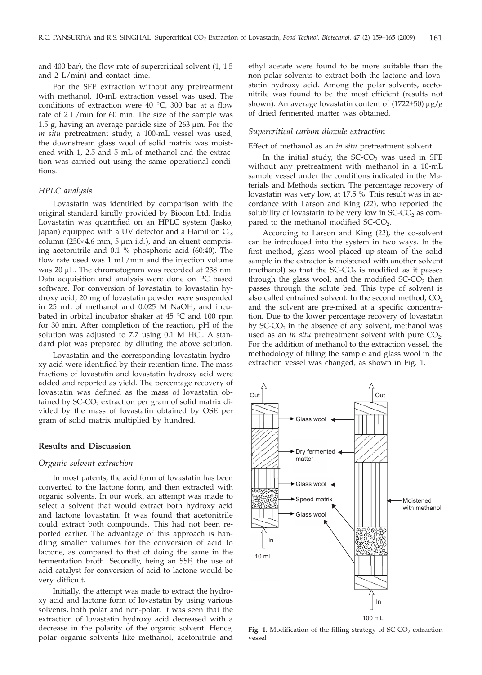and 400 bar), the flow rate of supercritical solvent (1, 1.5 and 2 L/min) and contact time.

For the SFE extraction without any pretreatment with methanol, 10-mL extraction vessel was used. The conditions of extraction were 40 °C, 300 bar at a flow rate of 2 L/min for 60 min. The size of the sample was 1.5 g, having an average particle size of  $263 \mu m$ . For the *in situ* pretreatment study, a 100-mL vessel was used, the downstream glass wool of solid matrix was moistened with 1, 2.5 and 5 mL of methanol and the extraction was carried out using the same operational conditions.

# *HPLC analysis*

Lovastatin was identified by comparison with the original standard kindly provided by Biocon Ltd, India. Lovastatin was quantified on an HPLC system (Jasko, Japan) equipped with a UV detector and a Hamilton  $C_{18}$ column (250 $\times$ 4.6 mm, 5  $\mu$ m i.d.), and an eluent comprising acetonitrile and 0.1 % phosphoric acid (60:40). The flow rate used was 1 mL/min and the injection volume was 20 µL. The chromatogram was recorded at 238 nm. Data acquisition and analysis were done on PC based software. For conversion of lovastatin to lovastatin hydroxy acid, 20 mg of lovastatin powder were suspended in 25 mL of methanol and 0.025 M NaOH, and incubated in orbital incubator shaker at 45 °C and 100 rpm for 30 min. After completion of the reaction, pH of the solution was adjusted to 7.7 using 0.1 M HCl. A standard plot was prepared by diluting the above solution.

Lovastatin and the corresponding lovastatin hydroxy acid were identified by their retention time. The mass fractions of lovastatin and lovastatin hydroxy acid were added and reported as yield. The percentage recovery of lovastatin was defined as the mass of lovastatin obtained by  $SC-CO<sub>2</sub>$  extraction per gram of solid matrix divided by the mass of lovastatin obtained by OSE per gram of solid matrix multiplied by hundred.

# **Results and Discussion**

## *Organic solvent extraction*

In most patents, the acid form of lovastatin has been converted to the lactone form, and then extracted with organic solvents. In our work, an attempt was made to select a solvent that would extract both hydroxy acid and lactone lovastatin. It was found that acetonitrile could extract both compounds. This had not been reported earlier. The advantage of this approach is handling smaller volumes for the conversion of acid to lactone, as compared to that of doing the same in the fermentation broth. Secondly, being an SSF, the use of acid catalyst for conversion of acid to lactone would be very difficult.

Initially, the attempt was made to extract the hydroxy acid and lactone form of lovastatin by using various solvents, both polar and non-polar. It was seen that the extraction of lovastatin hydroxy acid decreased with a decrease in the polarity of the organic solvent. Hence, polar organic solvents like methanol, acetonitrile and

ethyl acetate were found to be more suitable than the non-polar solvents to extract both the lactone and lovastatin hydroxy acid. Among the polar solvents, acetonitrile was found to be the most efficient (results not shown). An average lovastatin content of (1722±50) μg/g of dried fermented matter was obtained.

## *Supercritical carbon dioxide extraction*

#### Effect of methanol as an *in situ* pretreatment solvent

In the initial study, the  $SC-CO<sub>2</sub>$  was used in SFE without any pretreatment with methanol in a 10-mL sample vessel under the conditions indicated in the Materials and Methods section. The percentage recovery of lovastatin was very low, at 17.5 %. This result was in accordance with Larson and King (*22*), who reported the solubility of lovastatin to be very low in  $SC\text{-}CO<sub>2</sub>$  as compared to the methanol modified  $SC$ - $CO<sub>2</sub>$ .

According to Larson and King (*22*), the co-solvent can be introduced into the system in two ways. In the first method, glass wool placed up-steam of the solid sample in the extractor is moistened with another solvent (methanol) so that the  $SC\text{-}CO<sub>2</sub>$  is modified as it passes through the glass wool, and the modified  $SC-CO<sub>2</sub>$  then passes through the solute bed. This type of solvent is also called entrained solvent. In the second method,  $CO<sub>2</sub>$ and the solvent are pre-mixed at a specific concentration. Due to the lower percentage recovery of lovastatin by  $SC-CO<sub>2</sub>$  in the absence of any solvent, methanol was used as an *in situ* pretreatment solvent with pure CO<sub>2</sub>. For the addition of methanol to the extraction vessel, the methodology of filling the sample and glass wool in the extraction vessel was changed, as shown in Fig. 1.

Fig. 1. Modification of the filling strategy of  $SC$ - $CO<sub>2</sub>$  extraction vessel

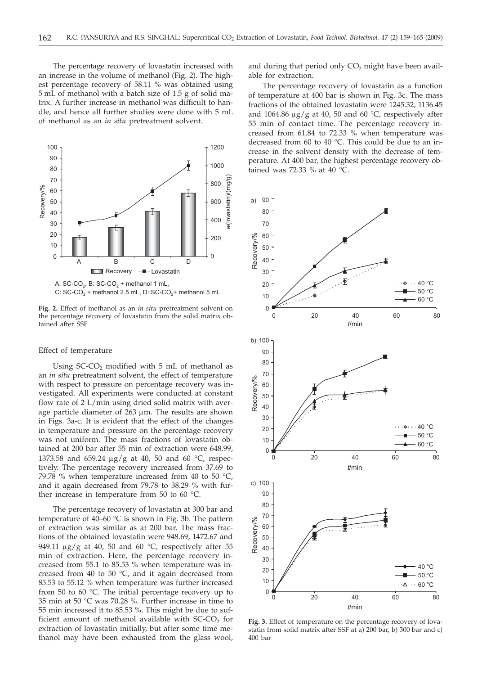The percentage recovery of lovastatin increased with an increase in the volume of methanol (Fig. 2). The highest percentage recovery of 58.11 % was obtained using 5 mL of methanol with a batch size of 1.5 g of solid matrix. A further increase in methanol was difficult to handle, and hence all further studies were done with 5 mL of methanol as an *in situ* pretreatment solvent.



**Fig. 2.** Effect of methanol as an *in situ* pretreatment solvent on the percentage recovery of lovastatin from the solid matrix ob-

#### Effect of temperature

tained after SSF

Using  $SC$ - $CO$ <sub>2</sub> modified with  $5$  mL of methanol as an *in situ* pretreatment solvent, the effect of temperature with respect to pressure on percentage recovery was investigated. All experiments were conducted at constant flow rate of 2 L/min using dried solid matrix with average particle diameter of  $263 \mu m$ . The results are shown in Figs. 3a-c. It is evident that the effect of the changes in temperature and pressure on the percentage recovery was not uniform. The mass fractions of lovastatin obtained at 200 bar after 55 min of extraction were 648.99, 1373.58 and 659.24  $\mu$ g/g at 40, 50 and 60 °C, respectively. The percentage recovery increased from 37.69 to 79.78 % when temperature increased from 40 to 50  $^{\circ}$ C, and it again decreased from 79.78 to 38.29 % with further increase in temperature from 50 to 60 °C.

The percentage recovery of lovastatin at 300 bar and temperature of 40–60 °C is shown in Fig. 3b. The pattern of extraction was similar as at 200 bar. The mass fractions of the obtained lovastatin were 948.69, 1472.67 and 949.11  $\mu$ g/g at 40, 50 and 60 °C, respectively after 55 min of extraction. Here, the percentage recovery increased from 55.1 to 85.53 % when temperature was increased from 40 to 50 °C, and it again decreased from 85.53 to 55.12 % when temperature was further increased from 50 to 60 °C. The initial percentage recovery up to 35 min at 50 °C was 70.28 %. Further increase in time to 55 min increased it to 85.53 %. This might be due to sufficient amount of methanol available with  $SC$ - $CO<sub>2</sub>$  for extraction of lovastatin initially, but after some time methanol may have been exhausted from the glass wool,

and during that period only  $CO<sub>2</sub>$  might have been available for extraction.

The percentage recovery of lovastatin as a function of temperature at 400 bar is shown in Fig. 3c. The mass fractions of the obtained lovastatin were 1245.32, 1136.45 and 1064.86  $\mu$ g/g at 40, 50 and 60 °C, respectively after 55 min of contact time. The percentage recovery increased from 61.84 to 72.33 % when temperature was decreased from 60 to 40 °C. This could be due to an increase in the solvent density with the decrease of temperature. At 400 bar, the highest percentage recovery obtained was 72.33 % at 40 °C.



**Fig. 3.** Effect of temperature on the percentage recovery of lovastatin from solid matrix after SSF at a) 200 bar, b) 300 bar and c) 400 bar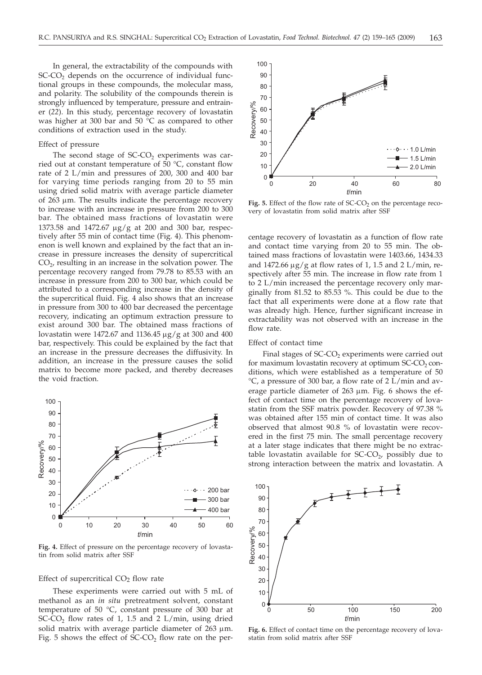In general, the extractability of the compounds with  $SC-CO<sub>2</sub>$  depends on the occurrence of individual functional groups in these compounds, the molecular mass, and polarity. The solubility of the compounds therein is strongly influenced by temperature, pressure and entrainer (*22*). In this study, percentage recovery of lovastatin was higher at 300 bar and 50 °C as compared to other conditions of extraction used in the study.

## Effect of pressure

The second stage of  $SC\text{-}CO$ , experiments was carried out at constant temperature of  $\bar{50}$  °C, constant flow rate of 2 L/min and pressures of 200, 300 and 400 bar for varying time periods ranging from 20 to 55 min using dried solid matrix with average particle diameter of  $263 \mu m$ . The results indicate the percentage recovery to increase with an increase in pressure from 200 to 300 bar. The obtained mass fractions of lovastatin were 1373.58 and 1472.67  $\mu$ g/g at 200 and 300 bar, respectively after 55 min of contact time (Fig. 4). This phenomenon is well known and explained by the fact that an increase in pressure increases the density of supercritical  $CO<sub>2</sub>$ , resulting in an increase in the solvation power. The percentage recovery ranged from 79.78 to 85.53 with an increase in pressure from 200 to 300 bar, which could be attributed to a corresponding increase in the density of the supercritical fluid. Fig. 4 also shows that an increase in pressure from 300 to 400 bar decreased the percentage recovery, indicating an optimum extraction pressure to exist around 300 bar. The obtained mass fractions of lovastatin were 1472.67 and 1136.45  $\mu$ g/g at 300 and 400 bar, respectively. This could be explained by the fact that an increase in the pressure decreases the diffusivity. In addition, an increase in the pressure causes the solid matrix to become more packed, and thereby decreases the void fraction.



**Fig. 4.** Effect of pressure on the percentage recovery of lovastatin from solid matrix after SSF

# Effect of supercritical  $CO<sub>2</sub>$  flow rate

These experiments were carried out with 5 mL of methanol as an *in situ* pretreatment solvent, constant temperature of 50 °C, constant pressure of 300 bar at SC-CO<sub>2</sub> flow rates of 1, 1.5 and 2 L/min, using dried solid matrix with average particle diameter of  $263 \mu m$ . Fig. 5 shows the effect of  $\hat{SC}$ - $CO<sub>2</sub>$  flow rate on the per-



Fig. 5. Effect of the flow rate of SC-CO<sub>2</sub> on the percentage recovery of lovastatin from solid matrix after SSF

centage recovery of lovastatin as a function of flow rate and contact time varying from 20 to 55 min. The obtained mass fractions of lovastatin were 1403.66, 1434.33 and  $1472.66 \,\mu\text{g/g}$  at flow rates of 1, 1.5 and 2 L/min, respectively after 55 min. The increase in flow rate from 1 to 2 L/min increased the percentage recovery only marginally from 81.52 to 85.53 %. This could be due to the fact that all experiments were done at a flow rate that was already high. Hence, further significant increase in extractability was not observed with an increase in the flow rate.

#### Effect of contact time

Final stages of  $SC$ - $CO<sub>2</sub>$  experiments were carried out for maximum lovastatin recovery at optimum  $SC$ - $CO<sub>2</sub>$  conditions, which were established as a temperature of 50 °C, a pressure of 300 bar, a flow rate of 2 L/min and average particle diameter of  $263 \mu m$ . Fig. 6 shows the effect of contact time on the percentage recovery of lovastatin from the SSF matrix powder. Recovery of 97.38 % was obtained after 155 min of contact time. It was also observed that almost 90.8 % of lovastatin were recovered in the first 75 min. The small percentage recovery at a later stage indicates that there might be no extractable lovastatin available for  $SC\text{-}CO_{2}$ , possibly due to strong interaction between the matrix and lovastatin. A



**Fig. 6.** Effect of contact time on the percentage recovery of lovastatin from solid matrix after SSF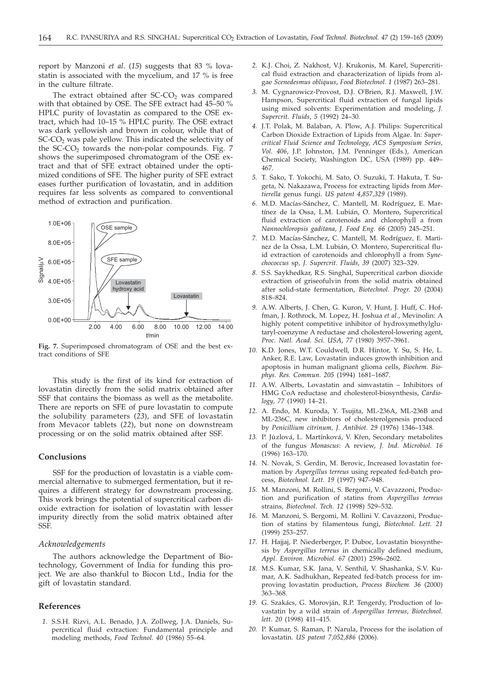report by Manzoni *et al*. (*15*) suggests that 83 % lovastatin is associated with the mycelium, and 17 % is free in the culture filtrate.

The extract obtained after  $SC\text{-}CO<sub>2</sub>$  was compared with that obtained by OSE. The SFE extract had 45–50 % HPLC purity of lovastatin as compared to the OSE extract, which had 10–15 % HPLC purity. The OSE extract was dark yellowish and brown in colour, while that of  $SC-CO<sub>2</sub>$  was pale yellow. This indicated the selectivity of the  $SC-CO<sub>2</sub>$  towards the non-polar compounds. Fig. 7 shows the superimposed chromatogram of the OSE extract and that of SFE extract obtained under the optimized conditions of SFE. The higher purity of SFE extract eases further purification of lovastatin, and in addition requires far less solvents as compared to conventional method of extraction and purification.



**Fig. 7.** Superimposed chromatogram of OSE and the best extract conditions of SFE

This study is the first of its kind for extraction of lovastatin directly from the solid matrix obtained after SSF that contains the biomass as well as the metabolite. There are reports on SFE of pure lovastatin to compute the solubility parameters (*23*), and SFE of lovastatin from Mevacor tablets (*22*), but none on downstream processing or on the solid matrix obtained after SSF.

# **Conclusions**

SSF for the production of lovastatin is a viable commercial alternative to submerged fermentation, but it requires a different strategy for downstream processing. This work brings the potential of supercritical carbon dioxide extraction for isolation of lovastatin with lesser impurity directly from the solid matrix obtained after SSF.

# *Acknowledgements*

The authors acknowledge the Department of Biotechnology, Government of India for funding this project. We are also thankful to Biocon Ltd., India for the gift of lovastatin standard.

## **References**

*1.* S.S.H. Rizvi, A.L. Benado, J.A. Zollweg, J.A. Daniels, Supercritical fluid extraction: Fundamental principle and modeling methods, *Food Technol. 40* (1986) 55–64.

- *2.* K.J. Choi, Z. Nakhost, V.J. Krukonis, M. Karel, Supercritical fluid extraction and characterization of lipids from algae *Scenedesmus obliquus*, *Food Biotechnol. 1* (1987) 263–281.
- *3.* M. Cygnarowicz-Provost, D.J. O'Brien, R.J. Maxwell, J.W. Hampson, Supercritical fluid extraction of fungal lipids using mixed solvents: Experimentation and modeling, *J. Supercrit. Fluids*, *5* (1992) 24–30.
- *4.* J.T. Polak, M. Balaban, A. Plow, A.J. Philips: Supercritical Carbon Dioxide Extraction of Lipids from Algae. In: *Supercritical Fluid Science and Technology*, *ACS Symposium Series, Vol. 406*, J.P. Johnston, J.M. Penninger (Eds.), American Chemical Society, Washington DC, USA (1989) pp. 449– 467.
- *5.* T. Sako, T. Yokochi, M. Sato, O. Suzuki, T. Hakuta, T. Sugeta, N. Nakazawa, Process for extracting lipids from *Mortierella* genus fungi. *US patent 4,857,329* (1989).
- *6.* M.D. Macías-Sánchez, C. Mantell, M. Rodríguez, E. Martínez de la Ossa, L.M. Lubián, O. Montero, Supercritical fluid extraction of carotenoids and chlorophyll a from *Nannochloropsis gaditana*, *J. Food Eng. 66* (2005) 245–251.
- *7.* M.D. Macías-Sánchez, C. Mantell, M. Rodríguez, E. Martìnez de la Ossa, L.M. Lubián, O. Montero, Supercritical fluid extraction of carotenoids and chlorophyll a from *Synechococcus* sp, *J. Supercrit. Fluids, 39* (2007) 323–329.
- *8.* S.S. Saykhedkar, R.S. Singhal, Supercritical carbon dioxide extraction of griseofulvin from the solid matrix obtained after solid-state fermentation, *Biotechnol. Progr. 20* (2004) 818–824.
- *9.* A.W. Alberts, J. Chen, G. Kuron, V. Hunt, J. Huff, C. Hoffman, J. Rothrock, M. Lopez, H. Joshua *et al*., Mevinolin: A highly potent competitive inhibitor of hydroxymethylglutaryl-coenzyme A reductase and cholesterol-lowering agent, *Proc. Natl. Acad. Sci. USA*, *77* (1980) 3957–3961.
- *10.* K.D. Jones, W.T. Couldwell, D.R. Hintor, Y. Su, S. He, L. Anker, R.E. Law, Lovastatin induces growth inhibition and apoptosis in human malignant glioma cells, *Biochem. Biophys. Res. Commun. 205* (1994) 1681–1687.
- *11.* A.W. Alberts, Lovastatin and simvastatin Inhibitors of HMG CoA reductase and cholesterol-biosynthesis, *Cardiology, 77* (1990) 14–21.
- *12.* A. Endo, M. Kuroda, Y. Tsujita, ML-236A, ML-236B and ML-236C, new inhibitors of cholesterolgenesis produced by *Penicillium citrinum, J. Antibiot. 29* (1976) 1346–1348.
- 13. P. Juzlová, L. Martínková, V. Křen, Secondary metabolites of the fungus *Monascus*: A review, *J. Ind. Microbiol. 16* (1996) 163–170.
- *14.* N. Novak, S. Gerdin, M. Berovic, Increased lovastatin formation by *Aspergillus terreus* using repeated fed-batch process, *Biotechnol. Lett. 19* (1997) 947–948.
- *15.* M. Manzoni, M. Rollini, S. Bergomi, V. Cavazzoni, Production and purification of statins from *Aspergillus terreus* strains, *Biotechnol. Tech. 12* (1998) 529–532.
- *16.* M. Manzoni, S. Bergomi, M. Rollini V. Cavazzoni, Production of statins by filamentous fungi, *Biotechnol. Lett. 21* (1999) 253–257.
- *17.* H. Hajjaj, P. Niederberger, P. Duboc, Lovastatin biosynthesis by *Aspergillus terreus* in chemically defined medium, *Appl. Environ. Microbiol. 67* (2001) 2596–2602.
- *18.* M.S. Kumar, S.K. Jana, V. Senthil, V. Shashanka, S.V. Kumar, A.K. Sadhukhan, Repeated fed-batch process for improving lovastatin production, *Process Biochem. 36* (2000) 363–368.
- *19.* G. Szakács, G. Morovján, R.P. Tengerdy, Production of lovastatin by a wild strain of *Aspergillus terreus*, *Biotechnol. lett*. *20* (1998) 411–415.
- *20.* P. Kumar, S. Raman, P. Narula, Process for the isolation of lovastatin. *US patent 7,052,886* (2006).